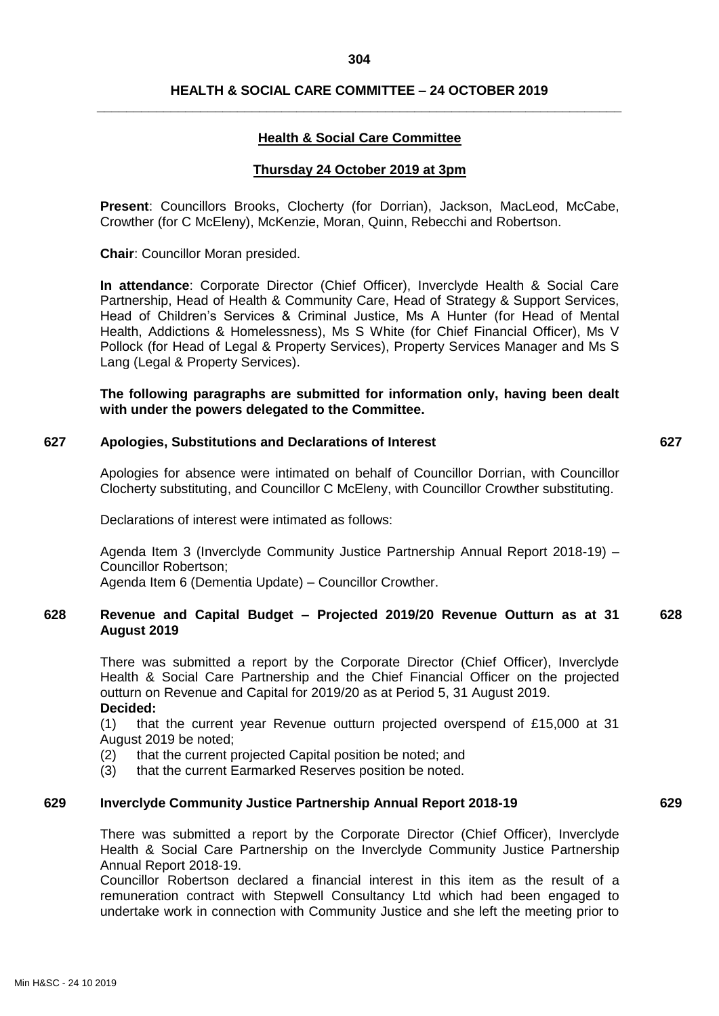## **HEALTH & SOCIAL CARE COMMITTEE – 24 OCTOBER 2019 \_\_\_\_\_\_\_\_\_\_\_\_\_\_\_\_\_\_\_\_\_\_\_\_\_\_\_\_\_\_\_\_\_\_\_\_\_\_\_\_\_\_\_\_\_\_\_\_\_\_\_\_\_\_\_\_\_\_\_\_\_\_\_\_\_\_\_\_\_\_\_**

## **Health & Social Care Committee**

#### **Thursday 24 October 2019 at 3pm**

**Present**: Councillors Brooks, Clocherty (for Dorrian), Jackson, MacLeod, McCabe, Crowther (for C McEleny), McKenzie, Moran, Quinn, Rebecchi and Robertson.

**Chair**: Councillor Moran presided.

**In attendance**: Corporate Director (Chief Officer), Inverclyde Health & Social Care Partnership, Head of Health & Community Care, Head of Strategy & Support Services, Head of Children's Services & Criminal Justice, Ms A Hunter (for Head of Mental Health, Addictions & Homelessness), Ms S White (for Chief Financial Officer), Ms V Pollock (for Head of Legal & Property Services), Property Services Manager and Ms S Lang (Legal & Property Services).

**The following paragraphs are submitted for information only, having been dealt with under the powers delegated to the Committee.**

#### **627 Apologies, Substitutions and Declarations of Interest 627**

Apologies for absence were intimated on behalf of Councillor Dorrian, with Councillor Clocherty substituting, and Councillor C McEleny, with Councillor Crowther substituting.

Declarations of interest were intimated as follows:

Agenda Item 3 (Inverclyde Community Justice Partnership Annual Report 2018-19) – Councillor Robertson;

Agenda Item 6 (Dementia Update) – Councillor Crowther.

#### **628 Revenue and Capital Budget – Projected 2019/20 Revenue Outturn as at 31 August 2019 628**

There was submitted a report by the Corporate Director (Chief Officer), Inverclyde Health & Social Care Partnership and the Chief Financial Officer on the projected outturn on Revenue and Capital for 2019/20 as at Period 5, 31 August 2019. **Decided:**

(1) that the current year Revenue outturn projected overspend of £15,000 at 31 August 2019 be noted;

- (2) that the current projected Capital position be noted; and
- (3) that the current Earmarked Reserves position be noted.

#### **629 Inverclyde Community Justice Partnership Annual Report 2018-19 629**

There was submitted a report by the Corporate Director (Chief Officer), Inverclyde Health & Social Care Partnership on the Inverclyde Community Justice Partnership Annual Report 2018-19.

Councillor Robertson declared a financial interest in this item as the result of a remuneration contract with Stepwell Consultancy Ltd which had been engaged to undertake work in connection with Community Justice and she left the meeting prior to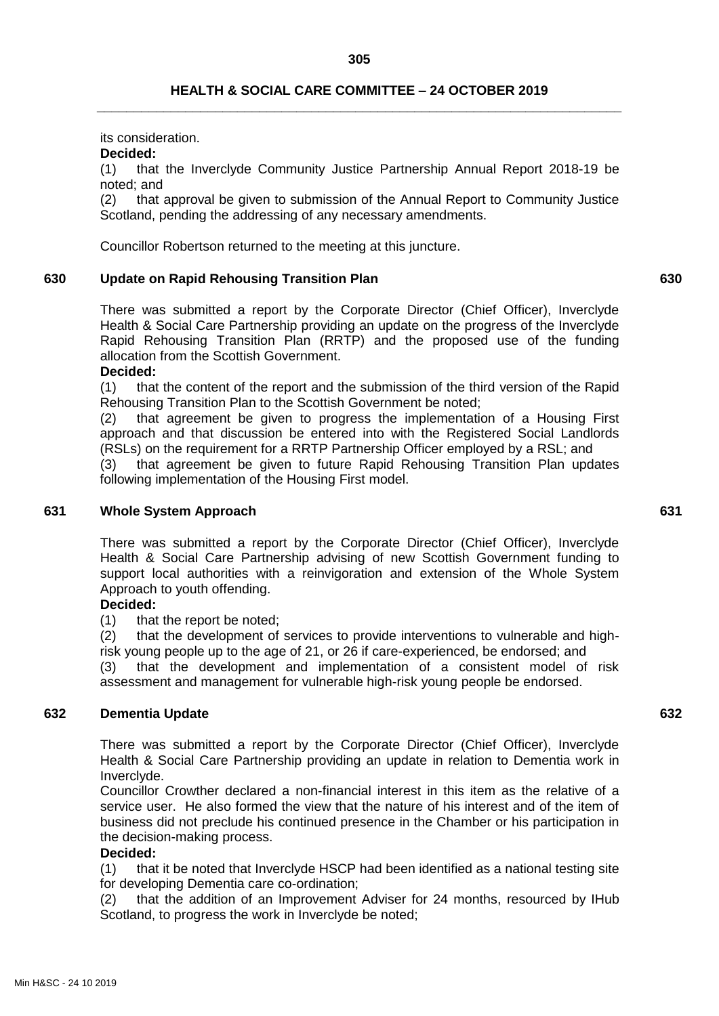## **HEALTH & SOCIAL CARE COMMITTEE – 24 OCTOBER 2019 \_\_\_\_\_\_\_\_\_\_\_\_\_\_\_\_\_\_\_\_\_\_\_\_\_\_\_\_\_\_\_\_\_\_\_\_\_\_\_\_\_\_\_\_\_\_\_\_\_\_\_\_\_\_\_\_\_\_\_\_\_\_\_\_\_\_\_\_\_\_\_**

its consideration.

### **Decided:**

(1) that the Inverclyde Community Justice Partnership Annual Report 2018-19 be noted; and

(2) that approval be given to submission of the Annual Report to Community Justice Scotland, pending the addressing of any necessary amendments.

Councillor Robertson returned to the meeting at this juncture.

### **630 Update on Rapid Rehousing Transition Plan 630**

There was submitted a report by the Corporate Director (Chief Officer), Inverclyde Health & Social Care Partnership providing an update on the progress of the Inverclyde Rapid Rehousing Transition Plan (RRTP) and the proposed use of the funding allocation from the Scottish Government.

#### **Decided:**

(1) that the content of the report and the submission of the third version of the Rapid Rehousing Transition Plan to the Scottish Government be noted;

(2) that agreement be given to progress the implementation of a Housing First approach and that discussion be entered into with the Registered Social Landlords (RSLs) on the requirement for a RRTP Partnership Officer employed by a RSL; and (3) that agreement be given to future Rapid Rehousing Transition Plan updates following implementation of the Housing First model.

#### **631 Whole System Approach 631**

There was submitted a report by the Corporate Director (Chief Officer), Inverclyde Health & Social Care Partnership advising of new Scottish Government funding to support local authorities with a reinvigoration and extension of the Whole System Approach to youth offending.

## **Decided:**

(1) that the report be noted;

(2) that the development of services to provide interventions to vulnerable and highrisk young people up to the age of 21, or 26 if care-experienced, be endorsed; and

(3) that the development and implementation of a consistent model of risk assessment and management for vulnerable high-risk young people be endorsed.

### **632 Dementia Update 632**

There was submitted a report by the Corporate Director (Chief Officer), Inverclyde Health & Social Care Partnership providing an update in relation to Dementia work in Inverclyde.

Councillor Crowther declared a non-financial interest in this item as the relative of a service user. He also formed the view that the nature of his interest and of the item of business did not preclude his continued presence in the Chamber or his participation in the decision-making process.

## **Decided:**

(1) that it be noted that Inverclyde HSCP had been identified as a national testing site for developing Dementia care co-ordination;

(2) that the addition of an Improvement Adviser for 24 months, resourced by IHub Scotland, to progress the work in Inverclyde be noted;